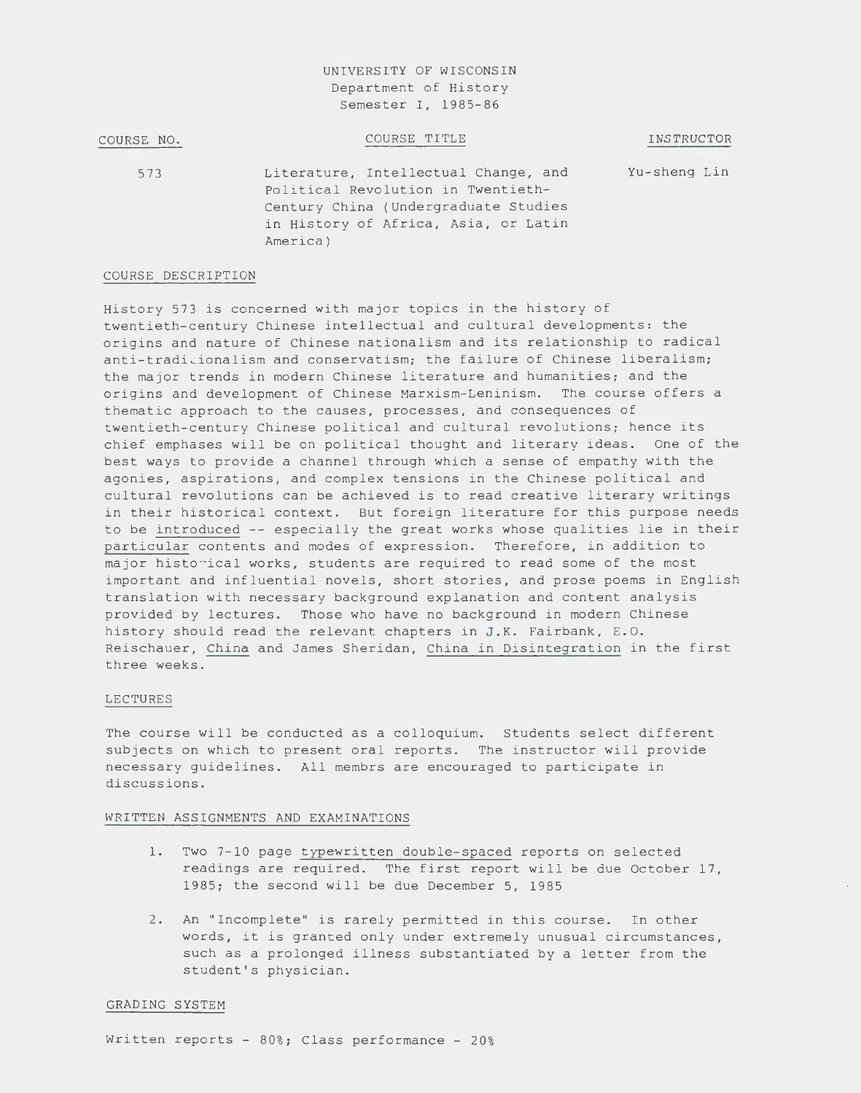# UNIVERSITY OF WISCONSIN Department of History Semester I, 1985-86

| COURSE NO. | COURSE TITLE                                                                                                                                                           | INSTRUCTOR   |
|------------|------------------------------------------------------------------------------------------------------------------------------------------------------------------------|--------------|
| 573        | Literature, Intellectual Change, and<br>Political Revolution in Twentieth-<br>Century China (Undergraduate Studies<br>in History of Africa, Asia, or Latin<br>America) | Yu-sheng Lin |

# COURSE DESCRIPTION

History 573 is concerned with major topics in the history of twentieth-century Chinese intellectual and cultural developments: the origins and nature of Chinese nationalism and its relationship to radical anti-tradicionalism and conservatism; the failure of Chinese liberalism; the major trends in modern Chinese literature and humanities; and the origins and development of Chinese Marxism-Leninism. The course offers a thematic approach to the causes, processes, and consequences of twentieth-century Chinese political and cultural revolutions; hence its chief emphases will be on political thought and literary ideas. One of the best ways to provide a channel through which a sense of empathy with the agonies, aspirations, and complex tensions in the Chinese political and cultural revolutions can be achieved is to read creative literary writings in their historical context. But foreign literature for this purpose needs to be introduced -- especially the great works whose qualities lie in their particular contents and modes of expression. Therefore, in addition to major historical works, students are required to read some of the most important and influential novels, short stories, and prose poems in English translation with necessary background explanation and content analysis provided by lectures. Those who have no background in modern Chinese history should read the relevant chapters in J.K. Fairbank, E.O. Reischauer, China and James Sheridan, China in Disintegration in the first three weeks.

### LECTURES

The course will be conducted as a colloquium. Students select different subjects on which to present oral reports. The instructor will provide necessary guidelines. All membrs are encouraged to participate in discussions.

# WRITTEN ASSIGNMENTS AND EXAMINATIONS

- 1. Two 7-10 page typewritten double-spaced reports on selected readings are required. The first report will be due October 17, 1985; the second will be due December 5, 1985
- 2. An "Incomplete" is rarely permitted in this course. In other words, it is granted only under extremely unusual circumstances, such as a prolonged illness substantiated by a letter from the student's physician.

#### GRADING SYSTEM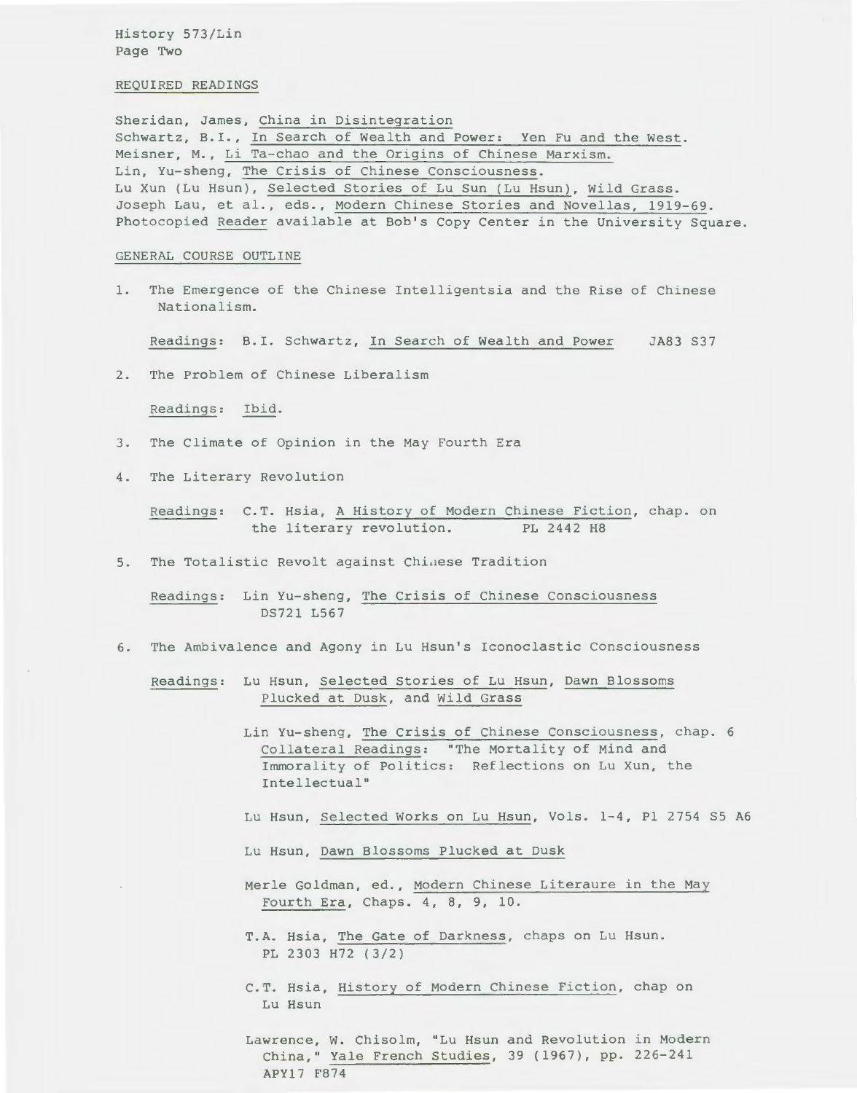History 573/Lin Page Two

#### REQUIRED READINGS

Sheridan, James, China in Disintegration Schwartz, B.I., In Search of Wealth and Power: Yen Fu and the West. Meisner, M., Li Ta-chao and the Origins of Chinese Marxism. Lin, Yu-sheng, The Crisis of Chinese Consciousness. Lu Xun (Lu Hsun), Selected Stories of Lu Sun (Lu Hsun), Wild Grass. Joseph Lau, et al., eds., Modern Chinese Stories and Novellas, 1919-69. Photocopied Reader available at Bob's Copy Center in the University Square.

### GENERAL COURSE OUTLINE

1. The Emergence of the Chinese Intelligentsia and the Rise of Chinese Nationalism.

Readings: B.I. Schwartz, In Search of wealth and Power JA83 S37

2. The Problem of Chinese Liberalism

Readings: Ibid.

- 3. The Climate of Opinion in the May Fourth Era
- 4. The Literary Revolution

Readings: C.T. Hsia, A History of Modern Chinese Fiction, chap. on the literary revolution. PL 2442 H8

5. The Totalistic Revolt against Chinese Tradition

Readings: Lin Yu-sheng, The Crisis of Chinese Consciousness DS721 L567

6. The Ambivalence and Agony in Lu Hsun's Iconoclastic Consciousness

Readings: Lu Hsun, Selected Stories of Lu Hsun, Dawn Blossoms Plucked at Dusk, and Wild Grass

> Lin Yu-sheng, The Crisis of Chinese Consciousness, chap. 6 Collateral Readings: "The Mortality of Mind and Immorality of Politics: Reflections on Lu Xun, the Intellectual"

- Lu Hsun, Selected works on Lu Hsun, Vols. 1-4, Pl 2754 S5 A6
- Lu Hsun, Dawn Blossoms Plucked at Dusk
- Merle Goldman, ed., Modern Chinese Literaure in the May Fourth Era, Chaps. 4, 8, 9, 10.

T.A. Hsia, The Gate of Darkness, chaps on Lu Hsun. PL 2303 H72 (3/2)

C. T. Hsia, History of Modern Chinese Fiction, chap on Lu Hsun

Lawrence, w. Chisolm, "Lu Hsun and Revolution in Modern China, " Yale French Studies, 39 (1967), pp. 226-241 APY17 F874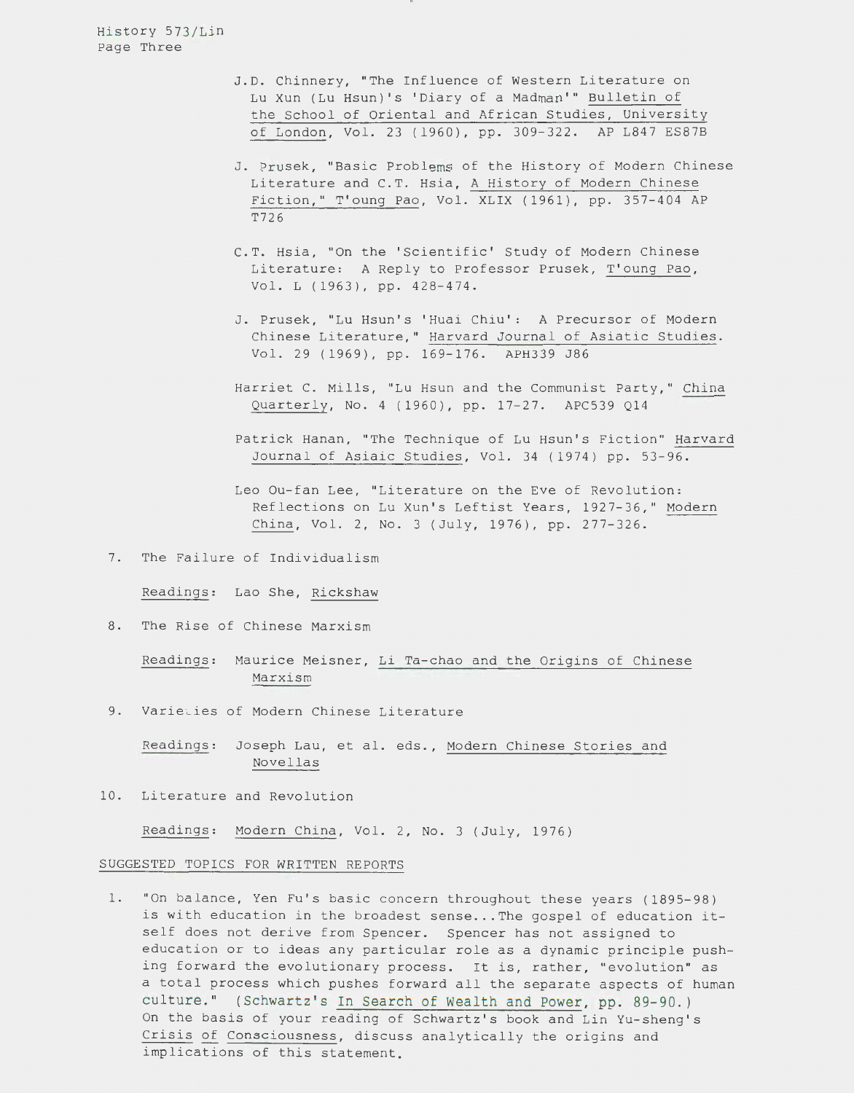History 573/Lin Page Three

- J.D. Chinnery, "The Influence of Western Literature on Lu Xun (Lu Hsun)'s 'Diary of a Madman'" Bulletin of the School of Oriental and African Studies, University of London, Vol. 23 (1960), pp. 309-322. AP L847 ES87B
- J. Prusek, "Basic Problems of the History of Modern Chinese Literature and C.T. Hsia, A History of Modern Chinese Fiction," T'oung Pao, Vol. XLIX (1961), pp. 357-404 AP T726
- C.T. Hsia, "On the 'Scientific' Study of Modern Chinese Literature: A Reply to Professor Prusek, T'oung Pao, Vol. L (1963), pp. 428-474.
- J. Prusek, "Lu Hsun's 'Huai Chiu': A Precursor of Modern Chinese Literature," Harvard Journal of Asiatic Studies. Vol. 29 (1969), pp. 169-176. APH339 J86
- Harriet C. Mills, "Lu Hsun and the Communist Party," China Quarterly, No. 4 ( 1960), pp. 17-27. APC539 Q14
- Patrick Hanan, "The Technique of Lu Hsun's Fiction" Harvard Journal of Asiaic Studies, Vol. 34 (1974) pp. 53-96.
- Leo Ou-fan Lee, "Literature on the Eve of Revolution: Reflections on Lu Xun's Leftist Years, 1927-36," Modern China, Vol. 2, No. 3 (July, 1976), pp. 277-326.
- 7. The Failure of Individualism

Readings: Lao She, Rickshaw

8. The Rise of Chinese Marxism

Readings: Maurice Meisner, Li Ta-chao and the Origins of Chinese Marxism

9. Varieties of Modern Chinese Literature

Readings: Joseph Lau, et al. eds., Modern Chinese Stories and Novellas

10. Literature and Revolution

Readings: Modern China, Vol. 2, No. 3 (July, 1976)

### SUGGESTED TOPICS FOR WRITTEN REPORTS

1. "On balance, Yen Fu's basic concern throughout these years (1895-98) is with education in the broadest sense... The gospel of education itself does not derive from Spencer. Spencer has not assigned to education or to ideas any particular role as a dynamic principle pushing forward the evolutionary process. It is, rather, "evolution" as a total process which pushes forward all the separate aspects of human culture." (Schwartz's In Search of Wealth and Power, pp. 89-90.) On the basis of your reading of Schwartz's book and Lin Yu-sheng's Crisis of Consciousness, discuss analytically the origins and implications of this statement.